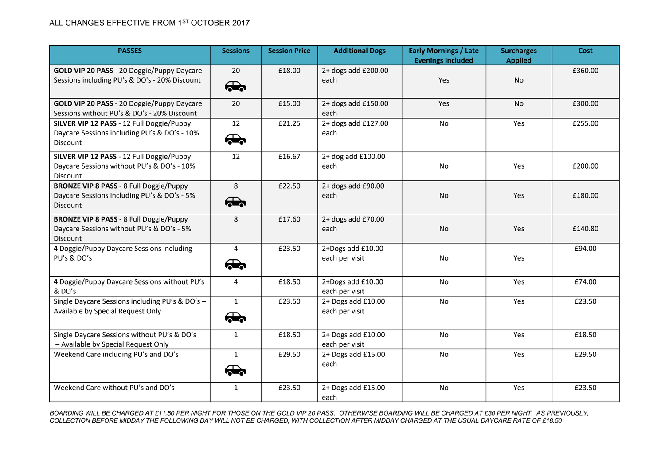| <b>PASSES</b>                                                                                                    | <b>Sessions</b>             | <b>Session Price</b> | <b>Additional Dogs</b>               | <b>Early Mornings / Late</b><br><b>Evenings Included</b> | <b>Surcharges</b><br><b>Applied</b> | Cost    |
|------------------------------------------------------------------------------------------------------------------|-----------------------------|----------------------|--------------------------------------|----------------------------------------------------------|-------------------------------------|---------|
| GOLD VIP 20 PASS - 20 Doggie/Puppy Daycare<br>Sessions including PU's & DO's - 20% Discount                      | 20<br>$\bigoplus$           | £18.00               | 2+ dogs add £200.00<br>each          | Yes                                                      | <b>No</b>                           | £360.00 |
| GOLD VIP 20 PASS - 20 Doggie/Puppy Daycare<br>Sessions without PU's & DO's - 20% Discount                        | 20                          | £15.00               | 2+ dogs add £150.00<br>each          | Yes                                                      | No                                  | £300.00 |
| SILVER VIP 12 PASS - 12 Full Doggie/Puppy<br>Daycare Sessions including PU's & DO's - 10%<br>Discount            | 12<br>$\bigoplus$           | £21.25               | 2+ dogs add £127.00<br>each          | No                                                       | Yes                                 | £255.00 |
| SILVER VIP 12 PASS - 12 Full Doggie/Puppy<br>Daycare Sessions without PU's & DO's - 10%<br><b>Discount</b>       | 12                          | £16.67               | 2+ dog add £100.00<br>each           | <b>No</b>                                                | Yes                                 | £200.00 |
| <b>BRONZE VIP 8 PASS - 8 Full Doggie/Puppy</b><br>Daycare Sessions including PU's & DO's - 5%<br><b>Discount</b> | 8<br>$\bigoplus$            | £22.50               | 2+ dogs add £90.00<br>each           | No                                                       | Yes                                 | £180.00 |
| <b>BRONZE VIP 8 PASS - 8 Full Doggie/Puppy</b><br>Daycare Sessions without PU's & DO's - 5%<br>Discount          | 8                           | £17.60               | 2+ dogs add £70.00<br>each           | No                                                       | Yes                                 | £140.80 |
| 4 Doggie/Puppy Daycare Sessions including<br>PU's & DO's                                                         | 4<br>$\bigoplus$            | £23.50               | 2+Dogs add £10.00<br>each per visit  | <b>No</b>                                                | Yes                                 | £94.00  |
| 4 Doggie/Puppy Daycare Sessions without PU's<br>& DO's                                                           | $\overline{4}$              | £18.50               | 2+Dogs add £10.00<br>each per visit  | No                                                       | Yes                                 | £74.00  |
| Single Daycare Sessions including PU's & DO's -<br>Available by Special Request Only                             | $\mathbf{1}$<br>$\oplus$    | £23.50               | 2+ Dogs add £10.00<br>each per visit | No                                                       | Yes                                 | £23.50  |
| Single Daycare Sessions without PU's & DO's<br>- Available by Special Request Only                               | $\mathbf{1}$                | £18.50               | 2+ Dogs add £10.00<br>each per visit | No                                                       | Yes                                 | £18.50  |
| Weekend Care including PU's and DO's                                                                             | $\mathbf{1}$<br>$\bigoplus$ | £29.50               | 2+ Dogs add £15.00<br>each           | No                                                       | Yes                                 | £29.50  |
| Weekend Care without PU's and DO's                                                                               | $\mathbf{1}$                | £23.50               | 2+ Dogs add £15.00<br>each           | No                                                       | Yes                                 | £23.50  |

*BOARDING WILL BE CHARGED AT £11.50 PER NIGHT FOR THOSE ON THE GOLD VIP 20 PASS. OTHERWISE BOARDING WILL BE CHARGED AT £30 PER NIGHT. AS PREVIOUSLY, COLLECTION BEFORE MIDDAY THE FOLLOWING DAY WILL NOT BE CHARGED, WITH COLLECTION AFTER MIDDAY CHARGED AT THE USUAL DAYCARE RATE OF £18.50*